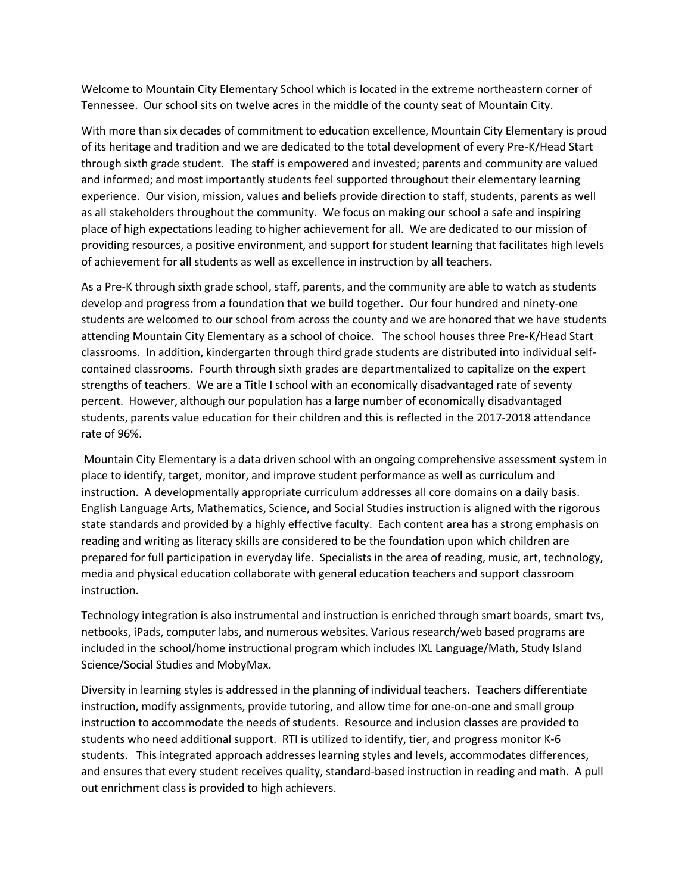Welcome to Mountain City Elementary School which is located in the extreme northeastern corner of Tennessee. Our school sits on twelve acres in the middle of the county seat of Mountain City.

With more than six decades of commitment to education excellence, Mountain City Elementary is proud of its heritage and tradition and we are dedicated to the total development of every Pre-K/Head Start through sixth grade student. The staff is empowered and invested; parents and community are valued and informed; and most importantly students feel supported throughout their elementary learning experience. Our vision, mission, values and beliefs provide direction to staff, students, parents as well as all stakeholders throughout the community. We focus on making our school a safe and inspiring place of high expectations leading to higher achievement for all. We are dedicated to our mission of providing resources, a positive environment, and support for student learning that facilitates high levels of achievement for all students as well as excellence in instruction by all teachers.

As a Pre-K through sixth grade school, staff, parents, and the community are able to watch as students develop and progress from a foundation that we build together. Our four hundred and ninety-one students are welcomed to our school from across the county and we are honored that we have students attending Mountain City Elementary as a school of choice. The school houses three Pre-K/Head Start classrooms. In addition, kindergarten through third grade students are distributed into individual selfcontained classrooms. Fourth through sixth grades are departmentalized to capitalize on the expert strengths of teachers. We are a Title I school with an economically disadvantaged rate of seventy percent. However, although our population has a large number of economically disadvantaged students, parents value education for their children and this is reflected in the 2017-2018 attendance rate of 96%.

Mountain City Elementary is a data driven school with an ongoing comprehensive assessment system in place to identify, target, monitor, and improve student performance as well as curriculum and instruction. A developmentally appropriate curriculum addresses all core domains on a daily basis. English Language Arts, Mathematics, Science, and Social Studies instruction is aligned with the rigorous state standards and provided by a highly effective faculty. Each content area has a strong emphasis on reading and writing as literacy skills are considered to be the foundation upon which children are prepared for full participation in everyday life. Specialists in the area of reading, music, art, technology, media and physical education collaborate with general education teachers and support classroom instruction.

Technology integration is also instrumental and instruction is enriched through smart boards, smart tvs, netbooks, iPads, computer labs, and numerous websites. Various research/web based programs are included in the school/home instructional program which includes IXL Language/Math, Study Island Science/Social Studies and MobyMax.

Diversity in learning styles is addressed in the planning of individual teachers. Teachers differentiate instruction, modify assignments, provide tutoring, and allow time for one-on-one and small group instruction to accommodate the needs of students. Resource and inclusion classes are provided to students who need additional support. RTI is utilized to identify, tier, and progress monitor K-6 students. This integrated approach addresses learning styles and levels, accommodates differences, and ensures that every student receives quality, standard-based instruction in reading and math. A pull out enrichment class is provided to high achievers.